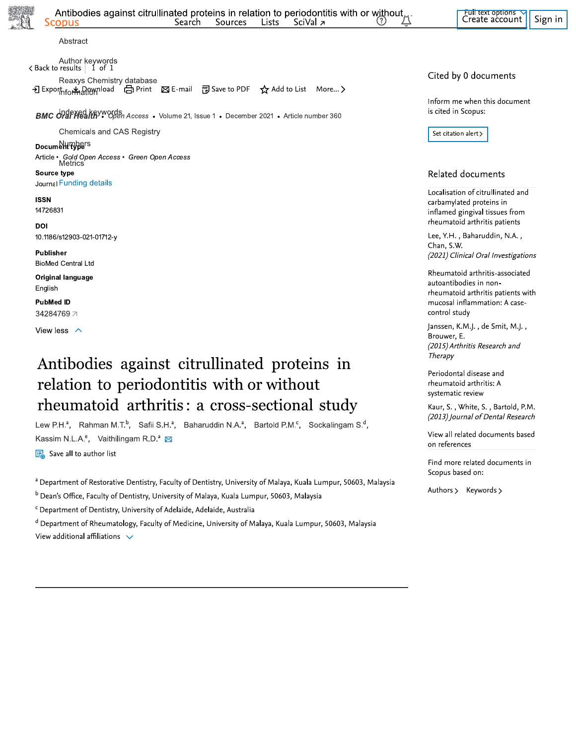Abstract

Author keywords < Back to results | 1 of 1 Reaxys Chemistry database → Export<sub>hfor</sub> Add to List More... > Print ⊠ E-mail 평 Save to PDF ☆ Add to List More... >

**BMC OrdFHealth<sup>y</sup>\*** Open Access • Volume 21, Issue 1 • December 2021 • Article number 360

Chemicals and CAS Registry

#### **Documet HPPE**rs

Article • Gold Open Access • Green Open Access<br>Metrics Source type

#### Journal Funding details

**ISSN** 14726831

DOI 10.1186/s12903-021-01712-y

Publisher **BioMed Central Ltd** 

Original language English

**PubMed ID** 34284769 7

View less  $\land$ 

# Antibodies against citrullinated proteins in relation to periodontitis with or without rheumatoid arthritis: a cross-sectional study

Lew P.H.<sup>a</sup>, Rahman M.T.<sup>b</sup>, Safii S.H.<sup>a</sup>, Baharuddin N.A.<sup>a</sup>, Bartold P.M.<sup>c</sup>, Sockalingam S.<sup>d</sup>, Kassim N.L.A.<sup>e</sup>, Vaithilingam R.D.<sup>a</sup> ⊠

Save all to author list

a Department of Restorative Dentistry, Faculty of Dentistry, University of Malaya, Kuala Lumpur, 50603, Malaysia

<sup>b</sup> Dean's Office, Faculty of Dentistry, University of Malaya, Kuala Lumpur, 50603, Malaysia

<sup>c</sup> Department of Dentistry, University of Adelaide, Adelaide, Australia

d Department of Rheumatology, Faculty of Medicine, University of Malaya, Kuala Lumpur, 50603, Malaysia View additional affiliations \

#### Cited by 0 documents

Inform me when this document is cited in Scopus:

Set citation alert >

### Related documents

Localisation of citrullinated and carbamylated proteins in inflamed gingival tissues from rheumatoid arthritis patients

Lee, Y.H., Baharuddin, N.A., Chan, S.W. (2021) Clinical Oral Investigations

Rheumatoid arthritis-associated autoantibodies in nonrheumatoid arthritis patients with mucosal inflammation: A casecontrol study

Janssen, K.M.J., de Smit, M.J., Brouwer, E. (2015) Arthritis Research and Therapy

Periodontal disease and rheumatoid arthritis: A systematic review

Kaur, S., White, S., Bartold, P.M. (2013) Journal of Dental Research

View all related documents based on references

Find more related documents in Scopus based on:

Authors > Keywords >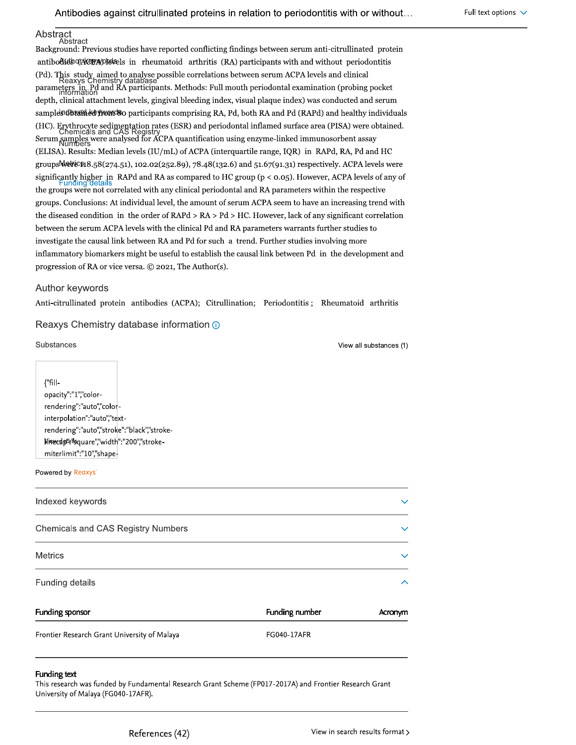#### Abstract Abstract

Background: Previous studies have reported conflicting findings between serum anti-citrullinated protein antibodies que esta in rheumatoid arthritis (RA) participants with and without periodontitis (Pd). This study aimed to analyse possible correlations between serum ACPA levels and clinical<br>Reaxys Chemistry database parameters in Pd and RA participants. Methods: Full mouth periodontal examination (probing pocket depth, clinical attachment levels, gingival bleeding index, visual plaque index) was conducted and serum samples completed wonded of participants comprising RA, Pd, both RA and Pd (RAPd) and healthy individuals (HC). Erythrocyte sedimentation rates (ESR) and periodontal inflamed surface area (PISA) were obtained.<br>Chemicals and CAS Registry Serum Samples were analysed for ACPA quantification using enzyme-linked immunosorbent assay (ELISA). Results: Median levels (IU/mL) of ACPA (interquartile range, IQR) in RAPd, RA, Pd and HC groups WebFeS18.58(274.51), 102.02(252.89), 78.48(132.6) and 51.67(91.31) respectively. ACPA levels were significantly higher in RAPd and RA as compared to HC group (p < 0.05). However, ACPA levels of any of the groups were not correlated with any clinical periodontal and RA parameters within the respective groups. Conclusions: At individual level, the amount of serum ACPA seem to have an increasing trend with the diseased condition in the order of  $RAPd > RA > Pd > HC$ . However, lack of any significant correlation between the serum ACPA levels with the clinical Pd and RA parameters warrants further studies to investigate the causal link between RA and Pd for such a trend. Further studies involving more inflammatory biomarkers might be useful to establish the causal link between Pd in the development and progression of RA or vice versa. © 2021, The Author(s).

#### Author keywords

Anti-citrullinated protein antibodies (ACPA); Citrullination; Periodontitis; Rheumatoid arthritis

#### Reaxys Chemistry database information O

Substances

View all substances (1)

{"fillopacity":"1","colorrendering":"auto","colorinterpolation":"auto","textrendering":"auto","stroke":"black","stroke-Nitecdptailsquare","width":"200","strokemiterlimit":"10","shape-

#### Powered by Reaxys'

| Indexed keywords                   | $\checkmark$             |
|------------------------------------|--------------------------|
| Chemicals and CAS Registry Numbers | $\checkmark$             |
| <b>Metrics</b>                     | $\checkmark$             |
| Funding details                    | $\overline{\phantom{a}}$ |

| Funding sponsor                              | Funding number | Acronym |
|----------------------------------------------|----------------|---------|
| Frontier Research Grant University of Malaya | FG040-17AFR    |         |

#### Funding text

This research was funded by Fundamental Research Grant Scheme (FP017-2017A) and Frontier Research Grant University of Malaya (FG040-17AFR).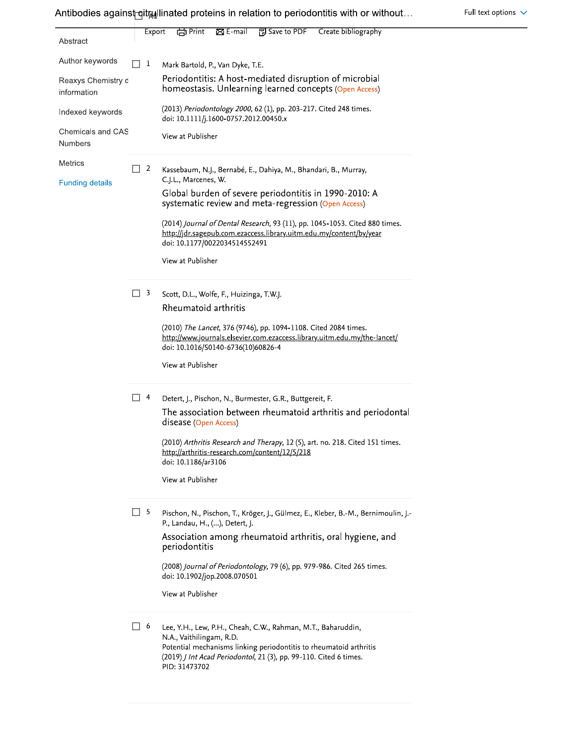| Abstract                            |        | Export | <b>টো</b> Print<br>$\boxtimes$ E-mail<br>PPE Save to PDF<br>Create bibliography                                                                                                                                                                              |
|-------------------------------------|--------|--------|--------------------------------------------------------------------------------------------------------------------------------------------------------------------------------------------------------------------------------------------------------------|
| Author keywords                     |        | 1      | Mark Bartold, P., Van Dyke, T.E.                                                                                                                                                                                                                             |
| Reaxys Chemistry d<br>information   |        |        | Periodontitis: A host-mediated disruption of microbial<br>homeostasis. Unlearning learned concepts (Open Access)                                                                                                                                             |
| Indexed keywords                    |        |        | (2013) Periodontology 2000, 62 (1), pp. 203-217. Cited 248 times.<br>doi: 10.1111/j.1600-0757.2012.00450.x                                                                                                                                                   |
| Chemicals and CAS<br><b>Numbers</b> |        |        | View at Publisher                                                                                                                                                                                                                                            |
| <b>Metrics</b>                      | $\Box$ | 2      | Kassebaum, N.J., Bernabé, E., Dahiya, M., Bhandari, B., Murray,                                                                                                                                                                                              |
| <b>Funding details</b>              |        |        | C.J.L., Marcenes, W.<br>Global burden of severe periodontitis in 1990-2010: A<br>systematic review and meta-regression (Open Access)                                                                                                                         |
|                                     |        |        | (2014) Journal of Dental Research, 93 (11), pp. 1045-1053. Cited 880 times.<br>http://jdr.sagepub.com.ezaccess.library.uitm.edu.my/content/by/year<br>doi: 10.1177/0022034514552491                                                                          |
|                                     |        |        | View at Publisher                                                                                                                                                                                                                                            |
|                                     | H      | 3      | Scott, D.L., Wolfe, F., Huizinga, T.W.J.                                                                                                                                                                                                                     |
|                                     |        |        | Rheumatoid arthritis                                                                                                                                                                                                                                         |
|                                     |        |        | (2010) The Lancet, 376 (9746), pp. 1094-1108. Cited 2084 times.<br>http://www.journals.elsevier.com.ezaccess.library.uitm.edu.my/the-lancet/                                                                                                                 |
|                                     |        |        | doi: 10.1016/S0140-6736(10)60826-4                                                                                                                                                                                                                           |
|                                     |        |        | View at Publisher                                                                                                                                                                                                                                            |
|                                     |        | 4      | Detert, J., Pischon, N., Burmester, G.R., Buttgereit, F.                                                                                                                                                                                                     |
|                                     |        |        | The association between rheumatoid arthritis and periodontal<br>disease (Open Access)                                                                                                                                                                        |
|                                     |        |        | (2010) Arthritis Research and Therapy, 12 (5), art. no. 218. Cited 151 times.<br>http://arthritis-research.com/content/12/5/218<br>doi: 10.1186/ar3106                                                                                                       |
|                                     |        |        | View at Publisher                                                                                                                                                                                                                                            |
|                                     | H      | 5      | Pischon, N., Pischon, T., Kröger, J., Gülmez, E., Kleber, B.-M., Bernimoulin, J.-<br>P., Landau, H., (), Detert, J.                                                                                                                                          |
|                                     |        |        | Association among rheumatoid arthritis, oral hygiene, and<br>periodontitis                                                                                                                                                                                   |
|                                     |        |        | (2008) Journal of Periodontology, 79 (6), pp. 979-986. Cited 265 times.<br>doi: 10.1902/jop.2008.070501                                                                                                                                                      |
|                                     |        |        | View at Publisher                                                                                                                                                                                                                                            |
|                                     | H      | 6      | Lee, Y.H., Lew, P.H., Cheah, C.W., Rahman, M.T., Baharuddin,<br>N.A., Vaithilingam, R.D.<br>Potential mechanisms linking periodontitis to rheumatoid arthritis<br>(2019) <i>J Int Acad Periodontol</i> , 21 (3), pp. 99-110. Cited 6 times.<br>PID: 31473702 |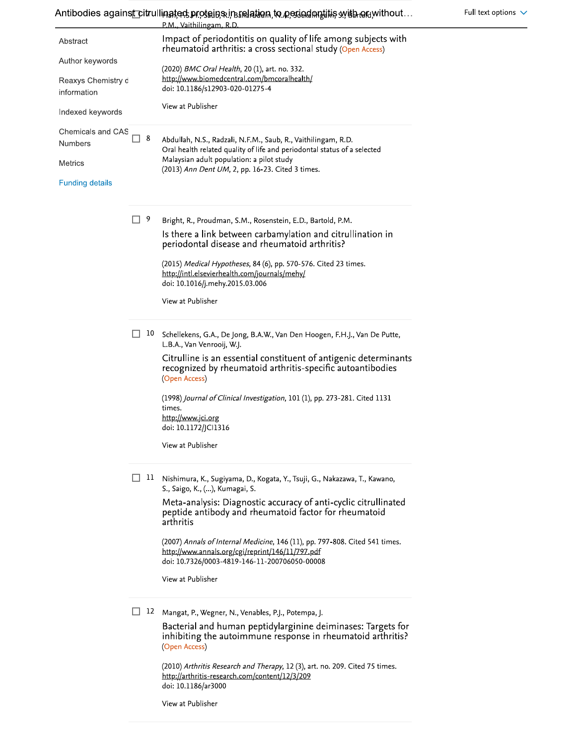Antibodies against citrullinated protains in ralation to ported multis with or without...

Full text options  $\sqrt{}$ 

|                                     |        |     | $r$ ran, דוסה דוויס, דוויס, דוויס, דוויס, דוויס, דוויס, דוויס, דוויס, דוויס, דוויס, דוויס, דוויס, דו<br>P.M., Vaithilingam, R.D.                                                 |
|-------------------------------------|--------|-----|----------------------------------------------------------------------------------------------------------------------------------------------------------------------------------|
| Abstract                            |        |     | Impact of periodontitis on quality of life among subjects with<br>rheumatoid arthritis: a cross sectional study (Open Access)                                                    |
| Author keywords                     |        |     | (2020) BMC Oral Health, 20 (1), art. no. 332.                                                                                                                                    |
| Reaxys Chemistry d<br>information   |        |     | http://www.biomedcentral.com/bmcoralhealth/<br>doi: 10.1186/s12903-020-01275-4                                                                                                   |
| Indexed keywords                    |        |     | View at Publisher                                                                                                                                                                |
| Chemicals and CAS<br><b>Numbers</b> | $\Box$ | - 8 | Abdullah, N.S., Radzali, N.F.M., Saub, R., Vaithilingam, R.D.<br>Oral health related quality of life and periodontal status of a selected                                        |
| Metrics                             |        |     | Malaysian adult population: a pilot study<br>(2013) Ann Dent UM, 2, pp. 16-23. Cited 3 times.                                                                                    |
| <b>Funding details</b>              |        |     |                                                                                                                                                                                  |
|                                     | П.     | - 9 | Bright, R., Proudman, S.M., Rosenstein, E.D., Bartold, P.M.                                                                                                                      |
|                                     |        |     | Is there a link between carbamylation and citrullination in<br>periodontal disease and rheumatoid arthritis?                                                                     |
|                                     |        |     | (2015) Medical Hypotheses, 84 (6), pp. 570-576. Cited 23 times.<br>http://intl.elsevierhealth.com/journals/mehy/<br>doi: 10.1016/j.mehy.2015.03.006                              |
|                                     |        |     | View at Publisher                                                                                                                                                                |
|                                     | П      | 10  | Schellekens, G.A., De Jong, B.A.W., Van Den Hoogen, F.H.J., Van De Putte,<br>L.B.A., Van Venrooij, W.J.                                                                          |
|                                     |        |     | Citrulline is an essential constituent of antigenic determinants<br>recognized by rheumatoid arthritis-specific autoantibodies<br>(Open Access)                                  |
|                                     |        |     | (1998) Journal of Clinical Investigation, 101 (1), pp. 273-281. Cited 1131                                                                                                       |
|                                     |        |     | times.<br>http://www.jci.org                                                                                                                                                     |
|                                     |        |     | doi: 10.1172/JCI1316                                                                                                                                                             |
|                                     |        |     | View at Publisher                                                                                                                                                                |
|                                     | H      |     | 11 Nishimura, K., Sugiyama, D., Kogata, Y., Tsuji, G., Nakazawa, T., Kawano,<br>S., Saigo, K., (), Kumagai, S.                                                                   |
|                                     |        |     | Meta-analysis: Diagnostic accuracy of anti-cyclic citrullinated<br>peptide antibody and rheumatoid factor for rheumatoid<br>arthritis                                            |
|                                     |        |     | (2007) Annals of Internal Medicine, 146 (11), pp. 797-808. Cited 541 times.<br>http://www.annals.org/cgi/reprint/146/11/797.pdf<br>doi: 10.7326/0003-4819-146-11-200706050-00008 |
|                                     |        |     | View at Publisher                                                                                                                                                                |
|                                     |        | 12  | Mangat, P., Wegner, N., Venables, P.J., Potempa, J.                                                                                                                              |
|                                     |        |     | Bacterial and human peptidylarginine deiminases: Targets for<br>inhibiting the autoimmune response in rheumatoid arthritis?<br>(Open Access)                                     |
|                                     |        |     | (2010) Arthritis Research and Therapy, 12 (3), art. no. 209. Cited 75 times.<br>http://arthritis-research.com/content/12/3/209<br>doi: 10.1186/ar3000                            |

View at Publisher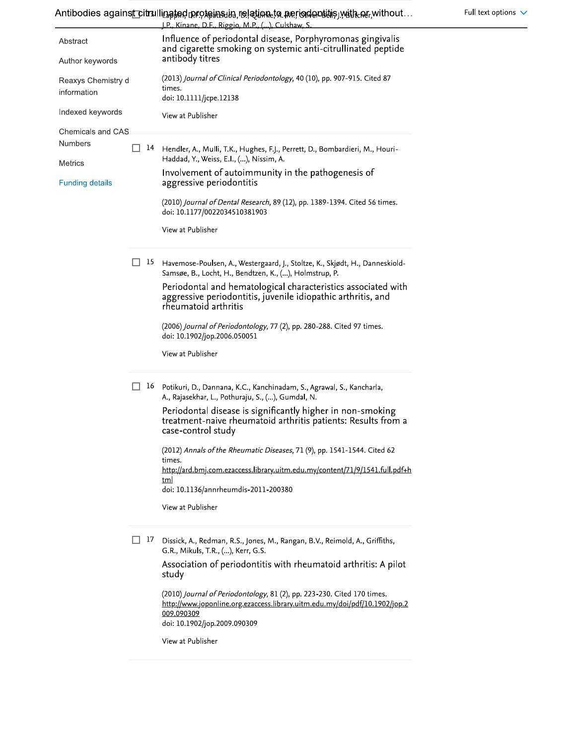|                        |     | <u>I.P Kinane. D.F Riggio. M.P (). Culshaw. S</u>                                                                                                                    |
|------------------------|-----|----------------------------------------------------------------------------------------------------------------------------------------------------------------------|
| Abstract               |     | Influence of periodontal disease, Porphyromonas gingivalis<br>and cigarette smoking on systemic anti-citrullinated peptide                                           |
| Author keywords        |     | antibody titres                                                                                                                                                      |
| Reaxys Chemistry d     |     | (2013) Journal of Clinical Periodontology, 40 (10), pp. 907-915. Cited 87                                                                                            |
| information            |     | times.<br>doi: 10.1111/jcpe.12138                                                                                                                                    |
| Indexed keywords       |     | View at Publisher                                                                                                                                                    |
| Chemicals and CAS.     |     |                                                                                                                                                                      |
| <b>Numbers</b>         | 14  | Hendler, A., Mulli, T.K., Hughes, F.J., Perrett, D., Bombardieri, M., Houri-<br>Haddad, Y., Weiss, E.I., (), Nissim, A.                                              |
| Metrics                |     | Involvement of autoimmunity in the pathogenesis of                                                                                                                   |
| <b>Funding details</b> |     | aggressive periodontitis                                                                                                                                             |
|                        |     | (2010) Journal of Dental Research, 89 (12), pp. 1389-1394. Cited 56 times.<br>doi: 10.1177/0022034510381903                                                          |
|                        |     | View at Publisher                                                                                                                                                    |
|                        | 15  | Havemose-Poulsen, A., Westergaard, J., Stoltze, K., Skiødt, H., Danneskiold-<br>Samsøe, B., Locht, H., Bendtzen, K., (), Holmstrup, P.                               |
|                        |     | Periodontal and hematological characteristics associated with<br>aggressive periodontitis, juvenile idiopathic arthritis, and<br>rheumatoid arthritis                |
|                        |     | (2006) Journal of Periodontology, 77 (2), pp. 280-288. Cited 97 times.<br>doi: 10.1902/jop.2006.050051                                                               |
|                        |     | View at Publisher                                                                                                                                                    |
|                        | 16  | Potikuri, D., Dannana, K.C., Kanchinadam, S., Agrawal, S., Kancharla,<br>A., Rajasekhar, L., Pothuraju, S., (), Gumdal, N.                                           |
|                        |     | Periodontal disease is significantly higher in non-smoking<br>treatment-naive rheumatoid arthritis patients: Results from a<br>case-control study                    |
|                        |     | (2012) Annals of the Rheumatic Diseases, 71 (9), pp. 1541-1544. Cited 62                                                                                             |
|                        |     | times.<br>http://ard.bmj.com.ezaccess.library.uitm.edu.my/content/71/9/1541.full.pdf+h                                                                               |
|                        |     | <u>tml</u><br>doi: 10.1136/annrheumdis-2011-200380                                                                                                                   |
|                        |     | View at Publisher                                                                                                                                                    |
|                        | TA. | Dissick, A., Redman, R.S., Jones, M., Rangan, B.V., Reimold, A., Griffiths,                                                                                          |
|                        |     | G.R., Mikuls, T.R., (), Kerr, G.S.                                                                                                                                   |
|                        |     | Association of periodontitis with rheumatoid arthritis: A pilot<br>study                                                                                             |
|                        |     | (2010) Journal of Periodontology, 81 (2), pp. 223-230. Cited 170 times.<br>http://www.joponline.org.ezaccess.library.uitm.edu.my/doi/pdf/10.1902/jop.2<br>009.090309 |
|                        |     | doi: 10.1902/jop.2009.090309                                                                                                                                         |
|                        |     | View at Publisher                                                                                                                                                    |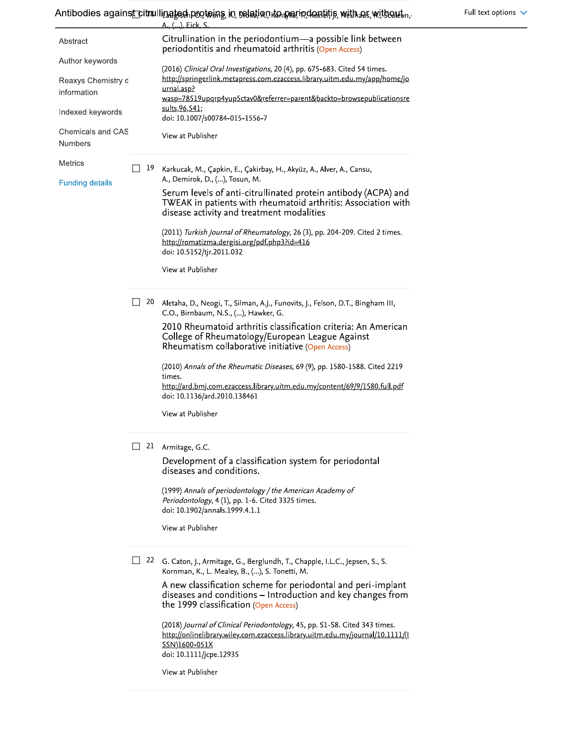# Antibodies against citrallinated protoins in relation do pariodontific with as without

|                                     |    | <u>A., (). Eick. S. </u>                                                                                                                                                      |
|-------------------------------------|----|-------------------------------------------------------------------------------------------------------------------------------------------------------------------------------|
| Abstract                            |    | Citrullination in the periodontium-a possible link between<br>periodontitis and rheumatoid arthritis (Open Access)                                                            |
| Author keywords                     |    | (2016) Clinical Oral Investigations, 20 (4), pp. 675-683. Cited 54 times.                                                                                                     |
| Reaxys Chemistry d<br>information   |    | http://springerlink.metapress.com.ezaccess.library.uitm.edu.my/app/home/jo<br>urnal.asp?<br>wasp=78519upqrp4yup5ctav0&referrer=parent&backto=browsepublicationsre             |
| Indexed keywords                    |    | sults, 96, 541;<br>doi: 10.1007/s00784-015-1556-7                                                                                                                             |
| Chemicals and CAS<br><b>Numbers</b> |    | View at Publisher                                                                                                                                                             |
| Metrics                             | 19 | Karkucak, M., Çapkin, E., Çakirbay, H., Akyüz, A., Alver, A., Cansu,<br>A., Demirok, D., (), Tosun, M.                                                                        |
| <b>Funding details</b>              |    | Serum levels of anti-citrullinated protein antibody (ACPA) and<br>TWEAK in patients with rheumatoid arthritis: Association with<br>disease activity and treatment modalities  |
|                                     |    | (2011) Turkish Journal of Rheumatology, 26 (3), pp. 204-209. Cited 2 times.<br>http://romatizma.dergisi.org/pdf.php3?id=416<br>doi: 10.5152/tjr.2011.032                      |
|                                     |    | View at Publisher                                                                                                                                                             |
|                                     | 20 | Aletaha, D., Neogi, T., Silman, A.J., Funovits, J., Felson, D.T., Bingham III,<br>C.O., Birnbaum, N.S., (), Hawker, G.                                                        |
|                                     |    | 2010 Rheumatoid arthritis classification criteria: An American<br>College of Rheumatology/European League Against<br>Rheumatism collaborative initiative (Open Access)        |
|                                     |    | (2010) Annals of the Rheumatic Diseases, 69 (9), pp. 1580-1588. Cited 2219<br>times.                                                                                          |
|                                     |    | http://ard.bmj.com.ezaccess.library.uitm.edu.my/content/69/9/1580.full.pdf<br>doi: 10.1136/ard.2010.138461                                                                    |
|                                     |    | View at Publisher                                                                                                                                                             |
|                                     | 21 | Armitage, G.C.                                                                                                                                                                |
|                                     |    | Development of a classification system for periodontal<br>diseases and conditions.                                                                                            |
|                                     |    | (1999) Annals of periodontology / the American Academy of<br>Periodontology, 4 (1), pp. 1-6. Cited 3325 times.<br>doi: 10.1902/annals.1999.4.1.1                              |
|                                     |    | View at Publisher                                                                                                                                                             |
|                                     | 22 | G. Caton, J., Armitage, G., Berglundh, T., Chapple, I.L.C., Jepsen, S., S.<br>Kornman, K., L. Mealey, B., (), S. Tonetti, M.                                                  |
|                                     |    | A new classification scheme for periodontal and peri-implant<br>diseases and conditions - Introduction and key changes from<br>the 1999 classification (Open Access)          |
|                                     |    | (2018) Journal of Clinical Periodontology, 45, pp. S1-S8. Cited 343 times.<br>http://onlinelibrary.wiley.com.ezaccess.library.uitm.edu.my/journal/10.1111/(1<br>SSN11600-051Y |

doi: 10.1111/jcpe.12935

View at Publisher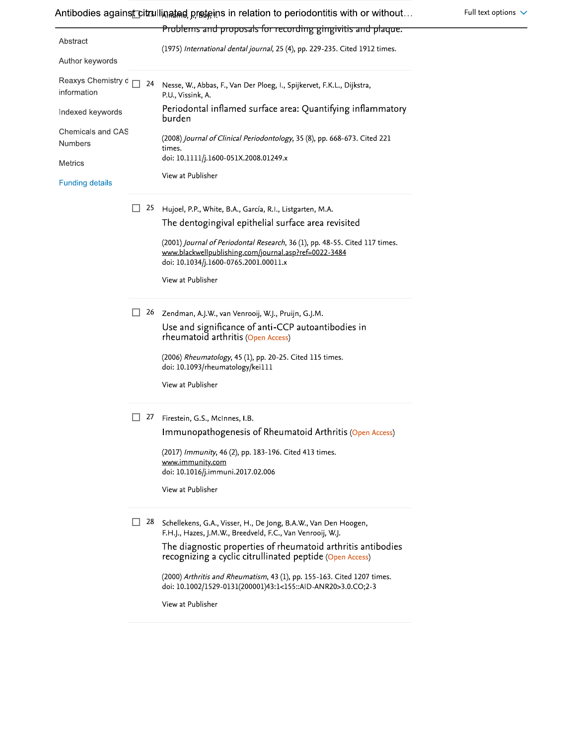| Abstract<br>(1975) International dental journal, 25 (4), pp. 229-235. Cited 1912 times.<br>Author keywords<br>Reaxys Chemistry d<br>24<br>Nesse, W., Abbas, F., Van Der Ploeg, I., Spijkervet, F.K.L., Dijkstra,<br>information<br>P.U., Vissink, A.<br>Periodontal inflamed surface area: Quantifying inflammatory<br>Indexed keywords<br>burden<br>Chemicals and CAS<br>(2008) Journal of Clinical Periodontology, 35 (8), pp. 668-673. Cited 221<br>Numbers<br>times.<br>doi: 10.1111/j.1600-051X.2008.01249.x<br>Metrics<br>View at Publisher<br><b>Funding details</b><br>25<br>Hujoel, P.P., White, B.A., García, R.I., Listgarten, M.A.<br>The dentogingival epithelial surface area revisited<br>(2001) Journal of Periodontal Research, 36 (1), pp. 48-55. Cited 117 times.<br>www.blackwellpublishing.com/journal.asp?ref=0022-3484<br>doi: 10.1034/j.1600-0765.2001.00011.x<br>View at Publisher<br>26<br>Zendman, A.J.W., van Venrooij, W.J., Pruijn, G.J.M.<br>Use and significance of anti-CCP autoantibodies in<br>rheumatoid arthritis (Open Access)<br>(2006) Rheumatology, 45 (1), pp. 20-25. Cited 115 times.<br>doi: 10.1093/rheumatology/kei111<br>View at Publisher<br>27<br>Firestein, G.S., McInnes, I.B.<br>Immunopathogenesis of Rheumatoid Arthritis (Open Access)<br>(2017) Immunity, 46 (2), pp. 183-196. Cited 413 times.<br>www.immunity.com<br>doi: 10.1016/j.immuni.2017.02.006<br>View at Publisher<br>28<br>Schellekens, G.A., Visser, H., De Jong, B.A.W., Van Den Hoogen,<br>F.H.J., Hazes, J.M.W., Breedveld, F.C., Van Venrooij, W.J.<br>The diagnostic properties of rheumatoid arthritis antibodies<br>recognizing a cyclic citrullinated peptide (Open Access)<br>(2000) Arthritis and Rheumatism, 43 (1), pp. 155-163. Cited 1207 times.<br>doi: 10.1002/1529-0131(200001)43:1<155::AID-ANR20>3.0.CO;2-3<br>View at Publisher |  | Problems and proposals for recording gingivitis and plaque. |  |  |  |  |  |  |
|--------------------------------------------------------------------------------------------------------------------------------------------------------------------------------------------------------------------------------------------------------------------------------------------------------------------------------------------------------------------------------------------------------------------------------------------------------------------------------------------------------------------------------------------------------------------------------------------------------------------------------------------------------------------------------------------------------------------------------------------------------------------------------------------------------------------------------------------------------------------------------------------------------------------------------------------------------------------------------------------------------------------------------------------------------------------------------------------------------------------------------------------------------------------------------------------------------------------------------------------------------------------------------------------------------------------------------------------------------------------------------------------------------------------------------------------------------------------------------------------------------------------------------------------------------------------------------------------------------------------------------------------------------------------------------------------------------------------------------------------------------------------------------------------------------------------------------------------------------------------------|--|-------------------------------------------------------------|--|--|--|--|--|--|
|                                                                                                                                                                                                                                                                                                                                                                                                                                                                                                                                                                                                                                                                                                                                                                                                                                                                                                                                                                                                                                                                                                                                                                                                                                                                                                                                                                                                                                                                                                                                                                                                                                                                                                                                                                                                                                                                          |  |                                                             |  |  |  |  |  |  |
|                                                                                                                                                                                                                                                                                                                                                                                                                                                                                                                                                                                                                                                                                                                                                                                                                                                                                                                                                                                                                                                                                                                                                                                                                                                                                                                                                                                                                                                                                                                                                                                                                                                                                                                                                                                                                                                                          |  |                                                             |  |  |  |  |  |  |
|                                                                                                                                                                                                                                                                                                                                                                                                                                                                                                                                                                                                                                                                                                                                                                                                                                                                                                                                                                                                                                                                                                                                                                                                                                                                                                                                                                                                                                                                                                                                                                                                                                                                                                                                                                                                                                                                          |  |                                                             |  |  |  |  |  |  |
|                                                                                                                                                                                                                                                                                                                                                                                                                                                                                                                                                                                                                                                                                                                                                                                                                                                                                                                                                                                                                                                                                                                                                                                                                                                                                                                                                                                                                                                                                                                                                                                                                                                                                                                                                                                                                                                                          |  |                                                             |  |  |  |  |  |  |
|                                                                                                                                                                                                                                                                                                                                                                                                                                                                                                                                                                                                                                                                                                                                                                                                                                                                                                                                                                                                                                                                                                                                                                                                                                                                                                                                                                                                                                                                                                                                                                                                                                                                                                                                                                                                                                                                          |  |                                                             |  |  |  |  |  |  |
|                                                                                                                                                                                                                                                                                                                                                                                                                                                                                                                                                                                                                                                                                                                                                                                                                                                                                                                                                                                                                                                                                                                                                                                                                                                                                                                                                                                                                                                                                                                                                                                                                                                                                                                                                                                                                                                                          |  |                                                             |  |  |  |  |  |  |
|                                                                                                                                                                                                                                                                                                                                                                                                                                                                                                                                                                                                                                                                                                                                                                                                                                                                                                                                                                                                                                                                                                                                                                                                                                                                                                                                                                                                                                                                                                                                                                                                                                                                                                                                                                                                                                                                          |  |                                                             |  |  |  |  |  |  |
|                                                                                                                                                                                                                                                                                                                                                                                                                                                                                                                                                                                                                                                                                                                                                                                                                                                                                                                                                                                                                                                                                                                                                                                                                                                                                                                                                                                                                                                                                                                                                                                                                                                                                                                                                                                                                                                                          |  |                                                             |  |  |  |  |  |  |
|                                                                                                                                                                                                                                                                                                                                                                                                                                                                                                                                                                                                                                                                                                                                                                                                                                                                                                                                                                                                                                                                                                                                                                                                                                                                                                                                                                                                                                                                                                                                                                                                                                                                                                                                                                                                                                                                          |  |                                                             |  |  |  |  |  |  |
|                                                                                                                                                                                                                                                                                                                                                                                                                                                                                                                                                                                                                                                                                                                                                                                                                                                                                                                                                                                                                                                                                                                                                                                                                                                                                                                                                                                                                                                                                                                                                                                                                                                                                                                                                                                                                                                                          |  |                                                             |  |  |  |  |  |  |
|                                                                                                                                                                                                                                                                                                                                                                                                                                                                                                                                                                                                                                                                                                                                                                                                                                                                                                                                                                                                                                                                                                                                                                                                                                                                                                                                                                                                                                                                                                                                                                                                                                                                                                                                                                                                                                                                          |  |                                                             |  |  |  |  |  |  |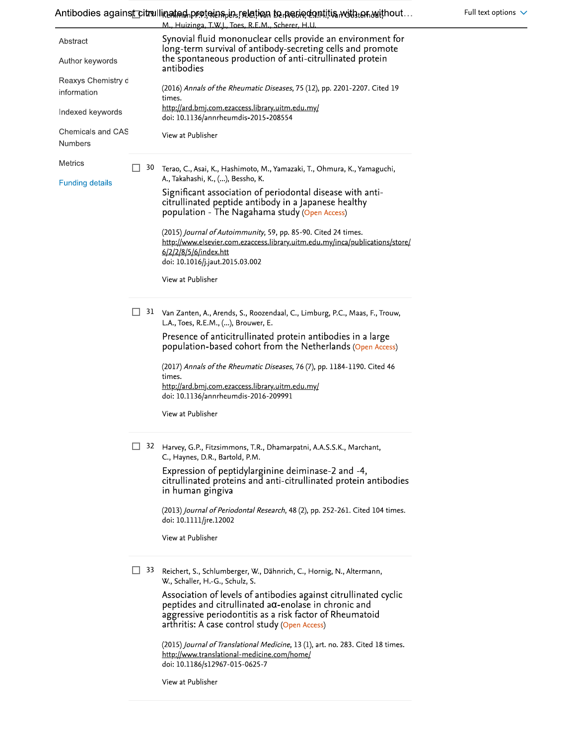|                                   |    | Antibodies against citrullinated proteins in reletion to periodontitis with an without<br>M., Huizinga, T.W.J., Toes, R.E.M., Scherer, H.U.                                                                                                      |
|-----------------------------------|----|--------------------------------------------------------------------------------------------------------------------------------------------------------------------------------------------------------------------------------------------------|
| Abstract                          |    | Synovial fluid mononuclear cells provide an environment for<br>long-term survival of antibody-secreting cells and promote                                                                                                                        |
| Author keywords                   |    | the spontaneous production of anti-citrullinated protein<br>antibodies                                                                                                                                                                           |
| Reaxys Chemistry d<br>information |    | (2016) Annals of the Rheumatic Diseases, 75 (12), pp. 2201-2207. Cited 19<br>times.                                                                                                                                                              |
| Indexed keywords                  |    | http://ard.bmj.com.ezaccess.library.uitm.edu.my/<br>doi: 10.1136/annrheumdis-2015-208554                                                                                                                                                         |
| Chemicals and CAS<br>Numbers      |    | View at Publisher                                                                                                                                                                                                                                |
| Metrics                           | 30 | Terao, C., Asai, K., Hashimoto, M., Yamazaki, T., Ohmura, K., Yamaguchi,<br>A., Takahashi, K., (), Bessho, K.                                                                                                                                    |
| <b>Funding details</b>            |    | Significant association of periodontal disease with anti-<br>citrullinated peptide antibody in a Japanese healthy<br>population - The Nagahama study (Open Access)                                                                               |
|                                   |    | (2015) Journal of Autoimmunity, 59, pp. 85-90. Cited 24 times.<br>http://www.elsevier.com.ezaccess.library.uitm.edu.my/inca/publications/store/<br>6/2/2/8/5/6/index.htt<br>doi: 10.1016/j.jaut.2015.03.002                                      |
|                                   |    | View at Publisher                                                                                                                                                                                                                                |
|                                   | 31 | Van Zanten, A., Arends, S., Roozendaal, C., Limburg, P.C., Maas, F., Trouw,<br>L.A., Toes, R.E.M., (), Brouwer, E.                                                                                                                               |
|                                   |    | Presence of anticitrullinated protein antibodies in a large<br>population-based cohort from the Netherlands (Open Access)                                                                                                                        |
|                                   |    | (2017) Annals of the Rheumatic Diseases, 76 (7), pp. 1184-1190. Cited 46<br>times.                                                                                                                                                               |
|                                   |    | http://ard.bmj.com.ezaccess.library.uitm.edu.my/<br>doi: 10.1136/annrheumdis-2016-209991                                                                                                                                                         |
|                                   |    | View at Publisher                                                                                                                                                                                                                                |
|                                   | 32 | Harvey, G.P., Fitzsimmons, T.R., Dhamarpatni, A.A.S.S.K., Marchant,<br>C., Haynes, D.R., Bartold, P.M.                                                                                                                                           |
|                                   |    | Expression of peptidylarginine deiminase-2 and -4,<br>citrullinated proteins and anti-citrullinated protein antibodies<br>in human gingiva                                                                                                       |
|                                   |    | (2013) Journal of Periodontal Research, 48 (2), pp. 252-261. Cited 104 times.<br>doi: 10.1111/jre.12002                                                                                                                                          |
|                                   |    | View at Publisher                                                                                                                                                                                                                                |
|                                   | 33 | Reichert, S., Schlumberger, W., Dähnrich, C., Hornig, N., Altermann,<br>W., Schaller, H.-G., Schulz, S.                                                                                                                                          |
|                                   |    | Association of levels of antibodies against citrullinated cyclic<br>$p$ eptides and citrullinated a $\alpha$ -enolase in chronic and<br>aggressive periodontitis as a risk factor of Rheumatoid<br>arthritis: A case control study (Open Access) |
|                                   |    | (2015) Journal of Translational Medicine, 13 (1), art. no. 283. Cited 18 times.<br>http://www.translational-medicine.com/home/<br>doi: 10.1186/s12967-015-0625-7                                                                                 |

View at Publisher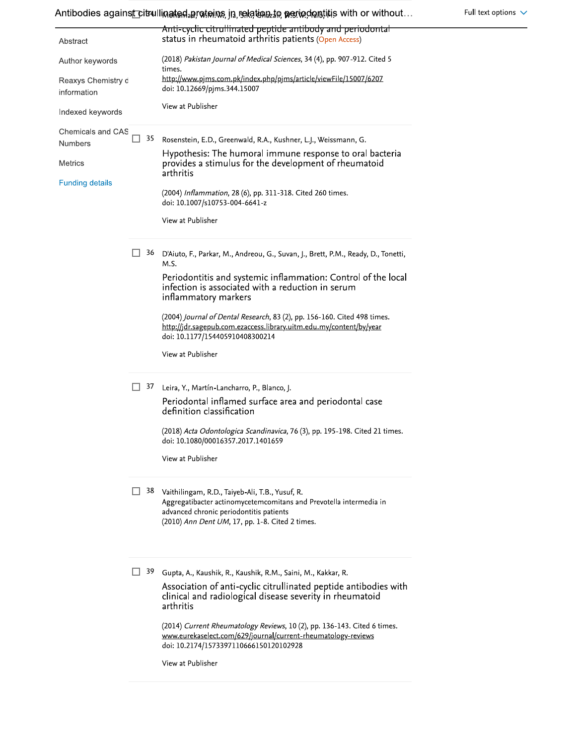Antibodies against citrullinated artetions, jn, relatinate, periodentitis with or without...

|                                   |          | Anti-cyclic citrullinated peptide antibody and periodontal                                                                                                                                                             |
|-----------------------------------|----------|------------------------------------------------------------------------------------------------------------------------------------------------------------------------------------------------------------------------|
| Abstract                          |          | status in rheumatoid arthritis patients (Open Access)                                                                                                                                                                  |
| Author keywords                   |          | (2018) Pakistan Journal of Medical Sciences, 34 (4), pp. 907-912. Cited 5<br>times.                                                                                                                                    |
| Reaxys Chemistry d<br>information |          | http://www.pjms.com.pk/index.php/pjms/article/viewFile/15007/6207<br>doi: 10.12669/pjms.344.15007                                                                                                                      |
| Indexed keywords                  |          | View at Publisher                                                                                                                                                                                                      |
| <b>Chemicals and CAS</b>          | 35       | Rosenstein, E.D., Greenwald, R.A., Kushner, L.J., Weissmann, G.                                                                                                                                                        |
| <b>Numbers</b>                    |          | Hypothesis: The humoral immune response to oral bacteria                                                                                                                                                               |
| Metrics                           |          | provides a stimulus for the development of rheumatoid<br>arthritis                                                                                                                                                     |
| <b>Funding details</b>            |          | (2004) Inflammation, 28 (6), pp. 311-318. Cited 260 times.<br>doi: 10.1007/s10753-004-6641-z                                                                                                                           |
|                                   |          | View at Publisher                                                                                                                                                                                                      |
|                                   | 36       | D'Aiuto, F., Parkar, M., Andreou, G., Suvan, J., Brett, P.M., Ready, D., Tonetti,<br>M.S.                                                                                                                              |
|                                   |          | Periodontitis and systemic inflammation: Control of the local<br>infection is associated with a reduction in serum<br>inflammatory markers                                                                             |
|                                   |          | (2004) Journal of Dental Research, 83 (2), pp. 156-160. Cited 498 times.<br>http://jdr.sagepub.com.ezaccess.library.uitm.edu.my/content/by/year<br>doi: 10.1177/154405910408300214                                     |
|                                   |          | View at Publisher                                                                                                                                                                                                      |
|                                   | L.<br>37 | Leira, Y., Martín-Lancharro, P., Blanco, J.                                                                                                                                                                            |
|                                   |          | Periodontal inflamed surface area and periodontal case<br>definition classification                                                                                                                                    |
|                                   |          | (2018) Acta Odontologica Scandinavica, 76 (3), pp. 195-198. Cited 21 times.                                                                                                                                            |
|                                   |          | doi: 10.1080/00016357.2017.1401659                                                                                                                                                                                     |
|                                   |          | View at Publisher                                                                                                                                                                                                      |
|                                   |          | 38 Vaithilingam, R.D., Taiyeb-Ali, T.B., Yusuf, R.<br>Aggregatibacter actinomycetemcomitans and Prevotella intermedia in<br>advanced chronic periodontitis patients<br>(2010) Ann Dent UM, 17, pp. 1-8. Cited 2 times. |
|                                   | 39<br>H  | Gupta, A., Kaushik, R., Kaushik, R.M., Saini, M., Kakkar, R.                                                                                                                                                           |
|                                   |          | Association of anti-cyclic citrullinated peptide antibodies with<br>clinical and radiological disease severity in rheumatoid<br>arthritis                                                                              |
|                                   |          | (2014) Current Rheumatology Reviews, 10 (2), pp. 136-143. Cited 6 times.<br>www.eurekaselect.com/629/journal/current-rheumatology-reviews<br>doi: 10.2174/1573397110666150120102928                                    |
|                                   |          | View at Publisher                                                                                                                                                                                                      |
|                                   |          |                                                                                                                                                                                                                        |